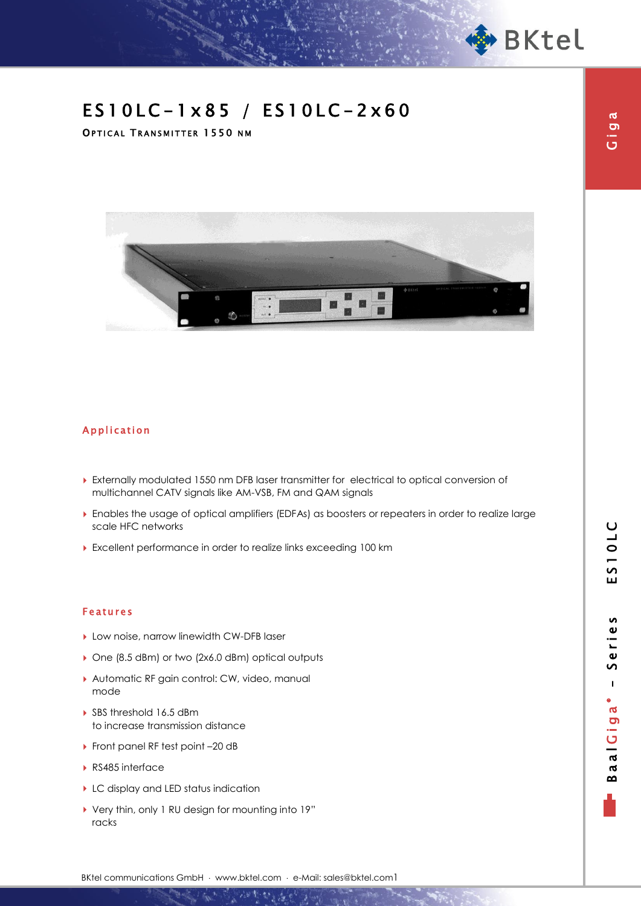

Giga

# ES10LC-1x85 / ES10LC-2x60

OPTICAL TRANSMITTER 1550 NM



### Application

- Externally modulated 1550 nm DFB laser transmitter for electrical to optical conversion of multichannel CATV signals like AM-VSB, FM and QAM signals
- Enables the usage of optical amplifiers (EDFAs) as boosters or repeaters in order to realize large scale HFC networks
- Excellent performance in order to realize links exceeding 100 km

#### Features

- Low noise, narrow linewidth CW-DFB laser
- ▶ One (8.5 dBm) or two (2x6.0 dBm) optical outputs
- Automatic RF gain control: CW, video, manual mode
- ▶ SBS threshold 16.5 dBm to increase transmission distance
- ▶ Front panel RF test point -20 dB
- ▶ RS485 interface
- LC display and LED status indication
- Very thin, only 1 RU design for mounting into 19" racks

BKtel communications GmbH · www.bktel.com · e-Mail: sales@bktel.com1